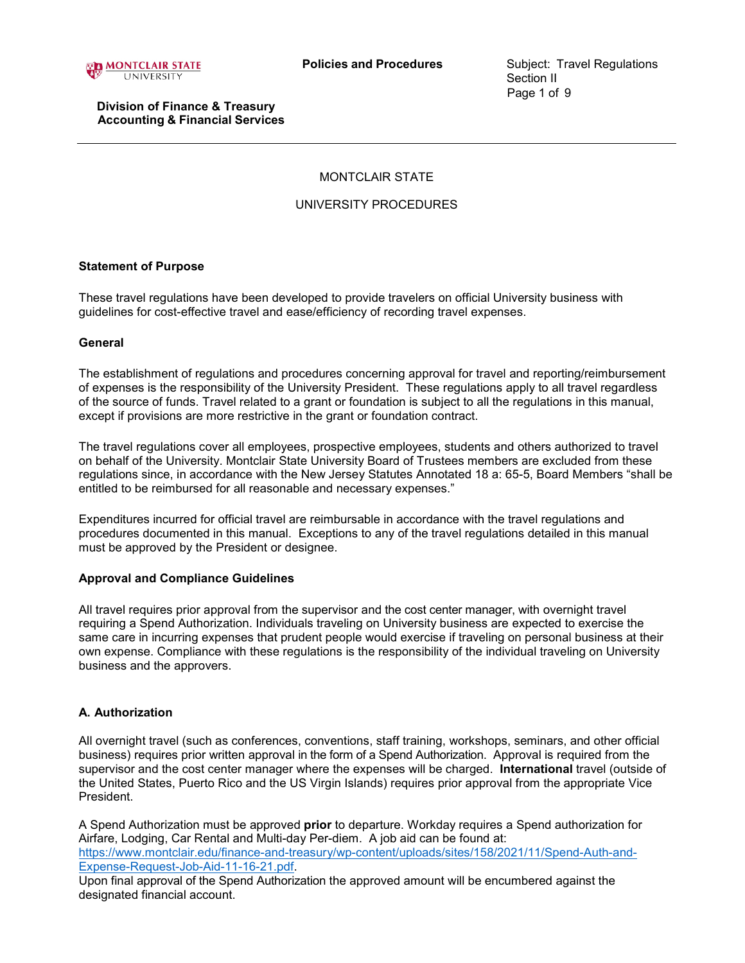

# MONTCLAIR STATE

# UNIVERSITY PROCEDURES

## **Statement of Purpose**

These travel regulations have been developed to provide travelers on official University business with guidelines for cost-effective travel and ease/efficiency of recording travel expenses.

### **General**

The establishment of regulations and procedures concerning approval for travel and reporting/reimbursement of expenses is the responsibility of the University President. These regulations apply to all travel regardless of the source of funds. Travel related to a grant or foundation is subject to all the regulations in this manual, except if provisions are more restrictive in the grant or foundation contract.

The travel regulations cover all employees, prospective employees, students and others authorized to travel on behalf of the University. Montclair State University Board of Trustees members are excluded from these regulations since, in accordance with the New Jersey Statutes Annotated 18 a: 65-5, Board Members "shall be entitled to be reimbursed for all reasonable and necessary expenses."

Expenditures incurred for official travel are reimbursable in accordance with the travel regulations and procedures documented in this manual. Exceptions to any of the travel regulations detailed in this manual must be approved by the President or designee.

## **Approval and Compliance Guidelines**

All travel requires prior approval from the supervisor and the cost center manager, with overnight travel requiring a Spend Authorization. Individuals traveling on University business are expected to exercise the same care in incurring expenses that prudent people would exercise if traveling on personal business at their own expense. Compliance with these regulations is the responsibility of the individual traveling on University business and the approvers.

## **A. Authorization**

All overnight travel (such as conferences, conventions, staff training, workshops, seminars, and other official business) requires prior written approval in the form of a Spend Authorization. Approval is required from the supervisor and the cost center manager where the expenses will be charged. **International** travel (outside of the United States, Puerto Rico and the US Virgin Islands) requires prior approval from the appropriate Vice President.

A Spend Authorization must be approved **prior** to departure. Workday requires a Spend authorization for Airfare, Lodging, Car Rental and Multi-day Per-diem. A job aid can be found at: [https://www.montclair.edu/finance-and-treasury/wp-content/uploads/sites/158/2021/11/Spend-Auth-and-](https://www.montclair.edu/finance-and-treasury/wp-content/uploads/sites/158/2021/11/Spend-Auth-and-Expense-Request-Job-Aid-11-16-21.pdf)[Expense-Request-Job-Aid-11-16-21.pdf.](https://www.montclair.edu/finance-and-treasury/wp-content/uploads/sites/158/2021/11/Spend-Auth-and-Expense-Request-Job-Aid-11-16-21.pdf)

Upon final approval of the Spend Authorization the approved amount will be encumbered against the designated financial account.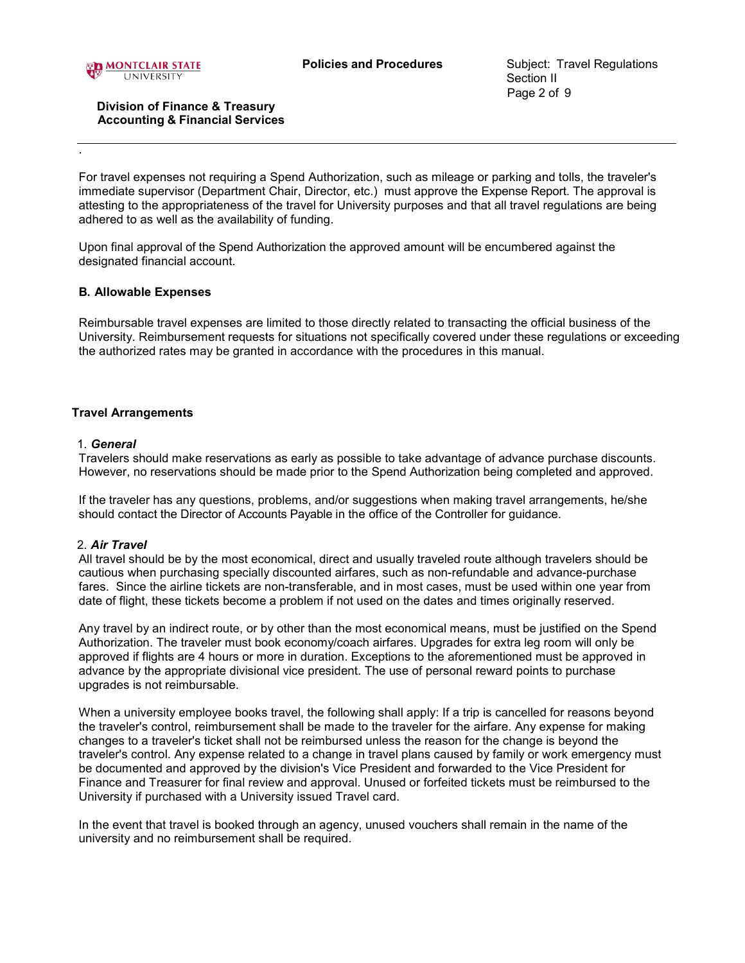

.

## **Division of Finance & Treasury Accounting & Financial Services**

For travel expenses not requiring a Spend Authorization, such as mileage or parking and tolls, the traveler's immediate supervisor (Department Chair, Director, etc.) must approve the Expense Report. The approval is attesting to the appropriateness of the travel for University purposes and that all travel regulations are being adhered to as well as the availability of funding.

Upon final approval of the Spend Authorization the approved amount will be encumbered against the designated financial account.

## **B. Allowable Expenses**

Reimbursable travel expenses are limited to those directly related to transacting the official business of the University. Reimbursement requests for situations not specifically covered under these regulations or exceeding the authorized rates may be granted in accordance with the procedures in this manual.

## **Travel Arrangements**

### 1. *General*

Travelers should make reservations as early as possible to take advantage of advance purchase discounts. However, no reservations should be made prior to the Spend Authorization being completed and approved.

If the traveler has any questions, problems, and/or suggestions when making travel arrangements, he/she should contact the Director of Accounts Payable in the office of the Controller for guidance.

## 2. *Air Travel*

All travel should be by the most economical, direct and usually traveled route although travelers should be cautious when purchasing specially discounted airfares, such as non-refundable and advance-purchase fares. Since the airline tickets are non-transferable, and in most cases, must be used within one year from date of flight, these tickets become a problem if not used on the dates and times originally reserved.

Any travel by an indirect route, or by other than the most economical means, must be justified on the Spend Authorization. The traveler must book economy/coach airfares. Upgrades for extra leg room will only be approved if flights are 4 hours or more in duration. Exceptions to the aforementioned must be approved in advance by the appropriate divisional vice president. The use of personal reward points to purchase upgrades is not reimbursable.

When a university employee books travel, the following shall apply: If a trip is cancelled for reasons beyond the traveler's control, reimbursement shall be made to the traveler for the airfare. Any expense for making changes to a traveler's ticket shall not be reimbursed unless the reason for the change is beyond the traveler's control. Any expense related to a change in travel plans caused by family or work emergency must be documented and approved by the division's Vice President and forwarded to the Vice President for Finance and Treasurer for final review and approval. Unused or forfeited tickets must be reimbursed to the University if purchased with a University issued Travel card.

In the event that travel is booked through an agency, unused vouchers shall remain in the name of the university and no reimbursement shall be required.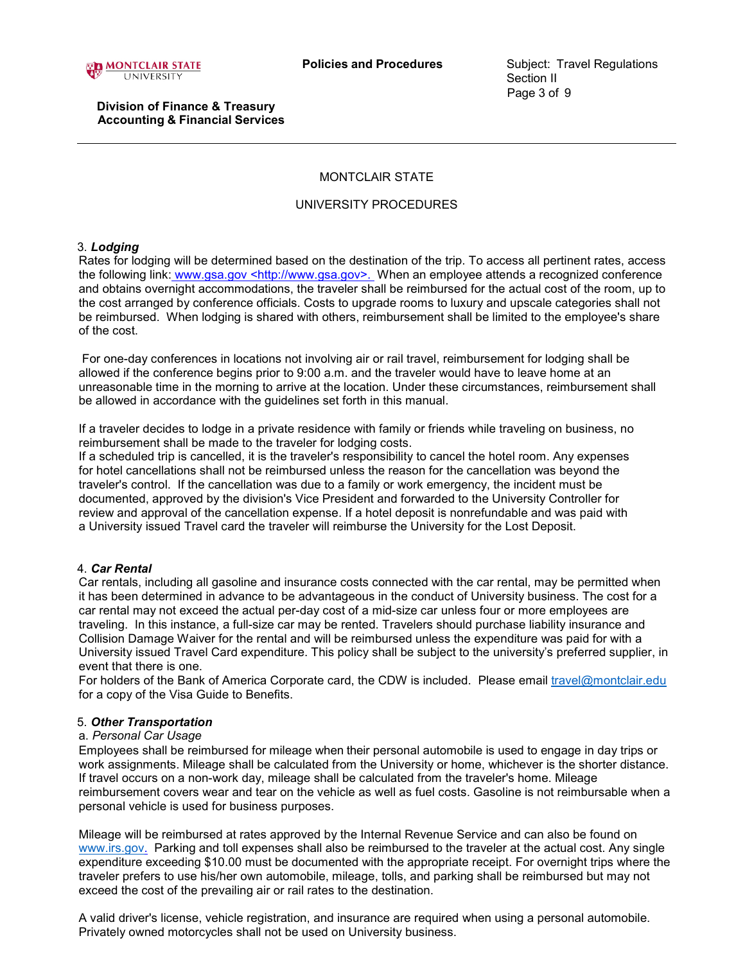

# MONTCLAIR STATE

## UNIVERSITY PROCEDURES

## 3. *Lodging*

Rates for lodging will be determined based on the destination of the trip. To access all pertinent rates, access the following link: [www.gsa.gov <http://www.gsa.gov>.](http://www.gsa.gov/) When an employee attends a recognized conference and obtains overnight accommodations, the traveler shall be reimbursed for the actual cost of the room, up to the cost arranged by conference officials. Costs to upgrade rooms to luxury and upscale categories shall not be reimbursed. When lodging is shared with others, reimbursement shall be limited to the employee's share of the cost.

For one-day conferences in locations not involving air or rail travel, reimbursement for lodging shall be allowed if the conference begins prior to 9:00 a.m. and the traveler would have to leave home at an unreasonable time in the morning to arrive at the location. Under these circumstances, reimbursement shall be allowed in accordance with the guidelines set forth in this manual.

If a traveler decides to lodge in a private residence with family or friends while traveling on business, no reimbursement shall be made to the traveler for lodging costs.

If a scheduled trip is cancelled, it is the traveler's responsibility to cancel the hotel room. Any expenses for hotel cancellations shall not be reimbursed unless the reason for the cancellation was beyond the traveler's control. If the cancellation was due to a family or work emergency, the incident must be documented, approved by the division's Vice President and forwarded to the University Controller for review and approval of the cancellation expense. If a hotel deposit is nonrefundable and was paid with a University issued Travel card the traveler will reimburse the University for the Lost Deposit.

## 4. *Car Rental*

Car rentals, including all gasoline and insurance costs connected with the car rental, may be permitted when it has been determined in advance to be advantageous in the conduct of University business. The cost for a car rental may not exceed the actual per-day cost of a mid-size car unless four or more employees are traveling. In this instance, a full-size car may be rented. Travelers should purchase liability insurance and Collision Damage Waiver for the rental and will be reimbursed unless the expenditure was paid for with a University issued Travel Card expenditure. This policy shall be subject to the university's preferred supplier, in event that there is one.

For holders of the Bank of America Corporate card, the CDW is included. Please email [travel@montclair.edu](mailto:travel@montclair.edu) for a copy of the Visa Guide to Benefits.

## 5. *Other Transportation*

## a. *Personal Car Usage*

Employees shall be reimbursed for mileage when their personal automobile is used to engage in day trips or work assignments. Mileage shall be calculated from the University or home, whichever is the shorter distance. If travel occurs on a non-work day, mileage shall be calculated from the traveler's home. Mileage reimbursement covers wear and tear on the vehicle as well as fuel costs. Gasoline is not reimbursable when a personal vehicle is used for business purposes.

Mileage will be reimbursed at rates approved by the Internal Revenue Service and can also be found on [www.irs.gov.](http://www.irs.gov/) Parking and toll expenses shall also be reimbursed to the traveler at the actual cost. Any single expenditure exceeding \$10.00 must be documented with the appropriate receipt. For overnight trips where the traveler prefers to use his/her own automobile, mileage, tolls, and parking shall be reimbursed but may not exceed the cost of the prevailing air or rail rates to the destination.

A valid driver's license, vehicle registration, and insurance are required when using a personal automobile. Privately owned motorcycles shall not be used on University business.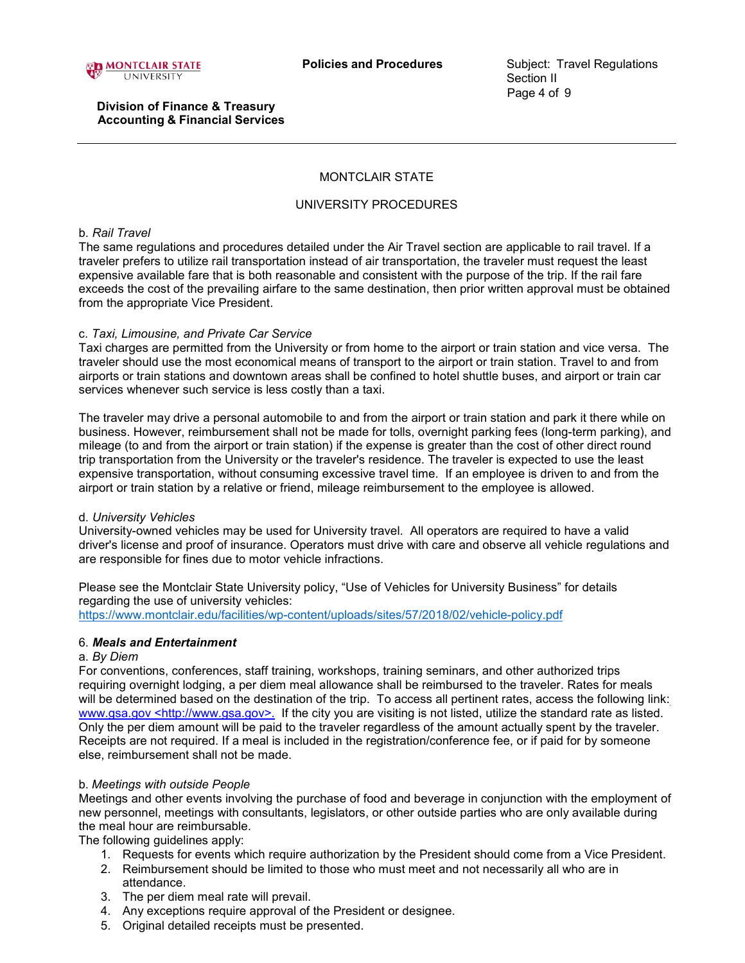

# MONTCLAIR STATE

## UNIVERSITY PROCEDURES

### b. *Rail Travel*

The same regulations and procedures detailed under the Air Travel section are applicable to rail travel. If a traveler prefers to utilize rail transportation instead of air transportation, the traveler must request the least expensive available fare that is both reasonable and consistent with the purpose of the trip. If the rail fare exceeds the cost of the prevailing airfare to the same destination, then prior written approval must be obtained from the appropriate Vice President.

## c. *Taxi, Limousine, and Private Car Service*

Taxi charges are permitted from the University or from home to the airport or train station and vice versa. The traveler should use the most economical means of transport to the airport or train station. Travel to and from airports or train stations and downtown areas shall be confined to hotel shuttle buses, and airport or train car services whenever such service is less costly than a taxi.

The traveler may drive a personal automobile to and from the airport or train station and park it there while on business. However, reimbursement shall not be made for tolls, overnight parking fees (long-term parking), and mileage (to and from the airport or train station) if the expense is greater than the cost of other direct round trip transportation from the University or the traveler's residence. The traveler is expected to use the least expensive transportation, without consuming excessive travel time. If an employee is driven to and from the airport or train station by a relative or friend, mileage reimbursement to the employee is allowed.

## d. *University Vehicles*

University-owned vehicles may be used for University travel. All operators are required to have a valid driver's license and proof of insurance. Operators must drive with care and observe all vehicle regulations and are responsible for fines due to motor vehicle infractions.

Please see the Montclair State University policy, "Use of Vehicles for University Business" for details regarding the use of university vehicles:

<https://www.montclair.edu/facilities/wp-content/uploads/sites/57/2018/02/vehicle-policy.pdf>

## 6. *Meals and Entertainment*

#### a. *By Diem*

For conventions, conferences, staff training, workshops, training seminars, and other authorized trips requiring overnight lodging, a per diem meal allowance shall be reimbursed to the traveler. Rates for meals will be determined based on the destination of the trip. To access all pertinent rates, access the following link[:](http://www.gsa.gov/) [www.gsa.gov <http://www.gsa.gov>.](http://www.gsa.gov/) If the city you are visiting is not listed, utilize the standard rate as listed. Only the per diem amount will be paid to the traveler regardless of the amount actually spent by the traveler. Receipts are not required. If a meal is included in the registration/conference fee, or if paid for by someone else, reimbursement shall not be made.

## b. *Meetings with outside People*

Meetings and other events involving the purchase of food and beverage in conjunction with the employment of new personnel, meetings with consultants, legislators, or other outside parties who are only available during the meal hour are reimbursable.

The following guidelines apply:

- 1. Requests for events which require authorization by the President should come from a Vice President.
- 2. Reimbursement should be limited to those who must meet and not necessarily all who are in attendance.
- 3. The per diem meal rate will prevail.
- 4. Any exceptions require approval of the President or designee.
- 5. Original detailed receipts must be presented.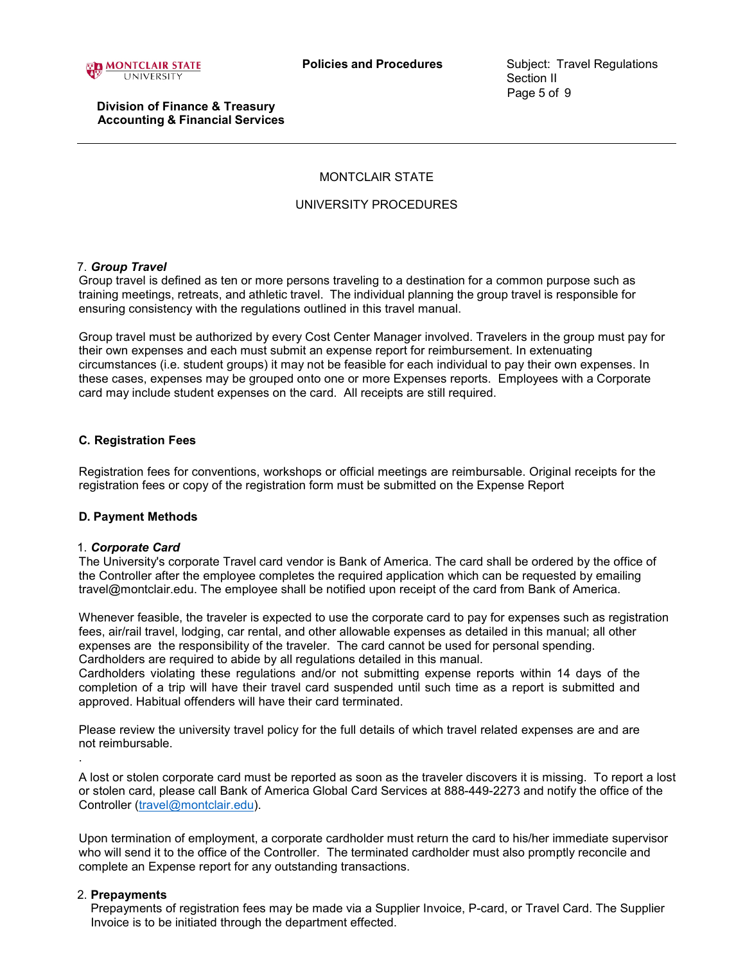

# MONTCLAIR STATE

# UNIVERSITY PROCEDURES

## 7. *Group Travel*

Group travel is defined as ten or more persons traveling to a destination for a common purpose such as training meetings, retreats, and athletic travel. The individual planning the group travel is responsible for ensuring consistency with the regulations outlined in this travel manual.

Group travel must be authorized by every Cost Center Manager involved. Travelers in the group must pay for their own expenses and each must submit an expense report for reimbursement. In extenuating circumstances (i.e. student groups) it may not be feasible for each individual to pay their own expenses. In these cases, expenses may be grouped onto one or more Expenses reports. Employees with a Corporate card may include student expenses on the card. All receipts are still required.

## **C. Registration Fees**

Registration fees for conventions, workshops or official meetings are reimbursable. Original receipts for the registration fees or copy of the registration form must be submitted on the Expense Report

## **D. Payment Methods**

## 1. *Corporate Card*

The University's corporate Travel card vendor is Bank of America. The card shall be ordered by the office of the Controller after the employee completes the required application which can be requested by emailing travel@montclair.edu. The employee shall be notified upon receipt of the card from Bank of America.

Whenever feasible, the traveler is expected to use the corporate card to pay for expenses such as registration fees, air/rail travel, lodging, car rental, and other allowable expenses as detailed in this manual; all other expenses are the responsibility of the traveler. The card cannot be used for personal spending. Cardholders are required to abide by all regulations detailed in this manual.

Cardholders violating these regulations and/or not submitting expense reports within 14 days of the completion of a trip will have their travel card suspended until such time as a report is submitted and approved. Habitual offenders will have their card terminated.

Please review the university travel policy for the full details of which travel related expenses are and are not reimbursable.

A lost or stolen corporate card must be reported as soon as the traveler discovers it is missing. To report a lost or stolen card, please call Bank of America Global Card Services at 888-449-2273 and notify the office of the Controller [\(travel@montclair.edu\)](mailto:travel@montclair.edu).

Upon termination of employment, a corporate cardholder must return the card to his/her immediate supervisor who will send it to the office of the Controller. The terminated cardholder must also promptly reconcile and complete an Expense report for any outstanding transactions.

## 2. **Prepayments**

.

Prepayments of registration fees may be made via a Supplier Invoice, P-card, or Travel Card. The Supplier Invoice is to be initiated through the department effected.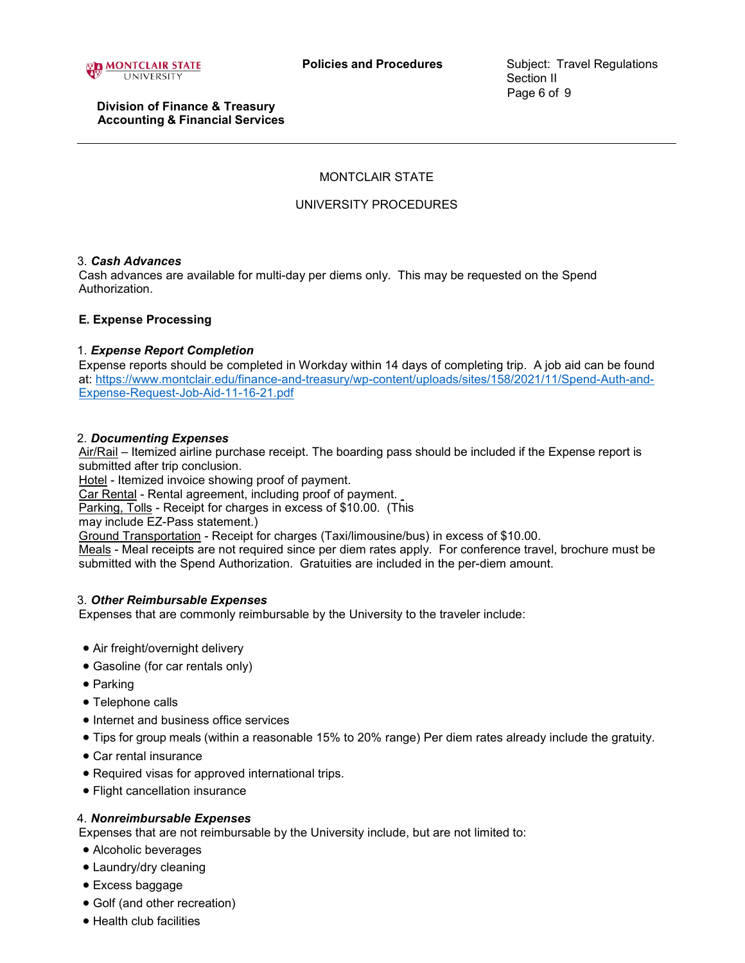

# MONTCLAIR STATE

# UNIVERSITY PROCEDURES

### 3. *Cash Advances*

Cash advances are available for multi-day per diems only. This may be requested on the Spend Authorization.

## **E. Expense Processing**

### 1. *Expense Report Completion*

Expense reports should be completed in Workday within 14 days of completing trip. A job aid can be found at: [https://www.montclair.edu/finance-and-treasury/wp-content/uploads/sites/158/2021/11/Spend-Auth-and-](https://www.montclair.edu/finance-and-treasury/wp-content/uploads/sites/158/2021/11/Spend-Auth-and-Expense-Request-Job-Aid-11-16-21.pdf)[Expense-Request-Job-Aid-11-16-21.pdf](https://www.montclair.edu/finance-and-treasury/wp-content/uploads/sites/158/2021/11/Spend-Auth-and-Expense-Request-Job-Aid-11-16-21.pdf)

### 2. *Documenting Expenses*

Air/Rail – Itemized airline purchase receipt. The boarding pass should be included if the Expense report is submitted after trip conclusion.

Hotel - Itemized invoice showing proof of payment.

Car Rental - Rental agreement, including proof of payment.

Parking, Tolls - Receipt for charges in excess of \$10.00. (This

may include EZ-Pass statement.)

Ground Transportation - Receipt for charges (Taxi/limousine/bus) in excess of \$10.00.

Meals - Meal receipts are not required since per diem rates apply. For conference travel, brochure must be submitted with the Spend Authorization. Gratuities are included in the per-diem amount.

#### 3. *Other Reimbursable Expenses*

Expenses that are commonly reimbursable by the University to the traveler include:

- Air freight/overnight delivery
- Gasoline (for car rentals only)
- Parking
- Telephone calls
- Internet and business office services
- Tips for group meals (within a reasonable 15% to 20% range) Per diem rates already include the gratuity.
- Car rental insurance
- Required visas for approved international trips.
- Flight cancellation insurance

## 4. *Nonreimbursable Expenses*

Expenses that are not reimbursable by the University include, but are not limited to:

- Alcoholic beverages
- Laundry/dry cleaning
- Excess baggage
- Golf (and other recreation)
- Health club facilities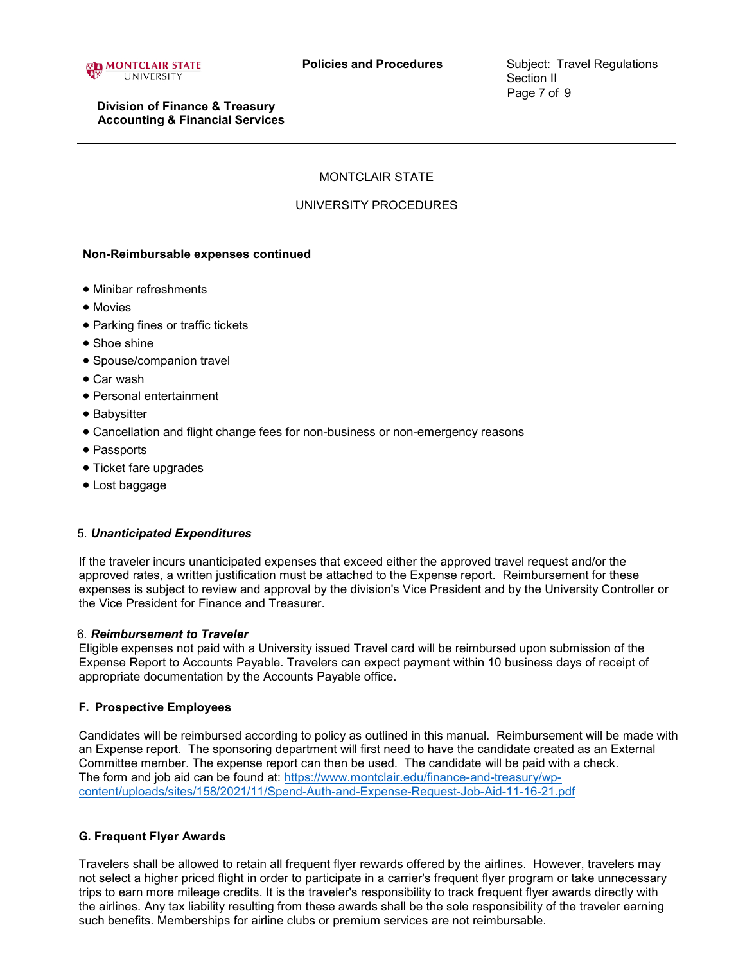

# MONTCLAIR STATE

# UNIVERSITY PROCEDURES

## **Non-Reimbursable expenses continued**

- Minibar refreshments
- Movies
- Parking fines or traffic tickets
- Shoe shine
- Spouse/companion travel
- Car wash
- Personal entertainment
- Babysitter
- Cancellation and flight change fees for non-business or non-emergency reasons
- Passports
- Ticket fare upgrades
- Lost baggage

## 5. *Unanticipated Expenditures*

If the traveler incurs unanticipated expenses that exceed either the approved travel request and/or the approved rates, a written justification must be attached to the Expense report. Reimbursement for these expenses is subject to review and approval by the division's Vice President and by the University Controller or the Vice President for Finance and Treasurer.

## 6. *Reimbursement to Traveler*

Eligible expenses not paid with a University issued Travel card will be reimbursed upon submission of the Expense Report to Accounts Payable. Travelers can expect payment within 10 business days of receipt of appropriate documentation by the Accounts Payable office.

## **F. Prospective Employees**

Candidates will be reimbursed according to policy as outlined in this manual. Reimbursement will be made with an Expense report. The sponsoring department will first need to have the candidate created as an External Committee member. The expense report can then be used. The candidate will be paid with a check. The form and job aid can be found at: [https://www.montclair.edu/finance-and-treasury/wp](https://www.montclair.edu/finance-and-treasury/wp-content/uploads/sites/158/2021/11/Spend-Auth-and-Expense-Request-Job-Aid-11-16-21.pdf)[content/uploads/sites/158/2021/11/Spend-Auth-and-Expense-Request-Job-Aid-11-16-21.pdf](https://www.montclair.edu/finance-and-treasury/wp-content/uploads/sites/158/2021/11/Spend-Auth-and-Expense-Request-Job-Aid-11-16-21.pdf)

# **G. Frequent Flyer Awards**

Travelers shall be allowed to retain all frequent flyer rewards offered by the airlines. However, travelers may not select a higher priced flight in order to participate in a carrier's frequent flyer program or take unnecessary trips to earn more mileage credits. It is the traveler's responsibility to track frequent flyer awards directly with the airlines. Any tax liability resulting from these awards shall be the sole responsibility of the traveler earning such benefits. Memberships for airline clubs or premium services are not reimbursable.